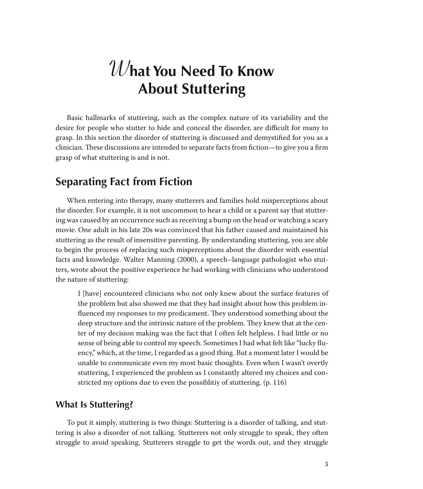# **What You Need To Know About Stuttering**

Basic hallmarks of stuttering, such as the complex nature of its variability and the desire for people who stutter to hide and conceal the disorder, are difficult for many to grasp. In this section the disorder of stuttering is discussed and demystified for you as a clinician. These discussions are intended to separate facts from fiction—to give you a firm grasp of what stuttering is and is not.

### **Separating Fact from Fiction**

When entering into therapy, many stutterers and families hold misperceptions about the disorder. For example, it is not uncommon to hear a child or a parent say that stuttering was caused by an occurrence such as receiving a bump on the head or watching a scary movie. One adult in his late 20s was convinced that his father caused and maintained his stuttering as the result of insensitive parenting. By understanding stuttering, you are able to begin the process of replacing such misperceptions about the disorder with essential facts and knowledge. Walter Manning (2000), a speech–language pathologist who stutters, wrote about the positive experience he had working with clinicians who understood the nature of stuttering:

I [have] encountered clinicians who not only knew about the surface features of the problem but also showed me that they had insight about how this problem influenced my responses to my predicament. They understood something about the deep structure and the intrinsic nature of the problem. They knew that at the center of my decision making was the fact that I often felt helpless. I had little or no sense of being able to control my speech. Sometimes I had what felt like "lucky fluency," which, at the time, I regarded as a good thing. But a moment later I would be unable to communicate even my most basic thoughts. Even when I wasn't overtly stuttering, I experienced the problem as I constantly altered my choices and constricted my options due to even the possiblitiy of stuttering. (p. 116)

#### **What Is Stuttering?**

To put it simply, stuttering is two things: Stuttering is a disorder of talking, and stuttering is also a disorder of not talking. Stutterers not only struggle to speak, they often struggle to avoid speaking. Stutterers struggle to get the words out, and they struggle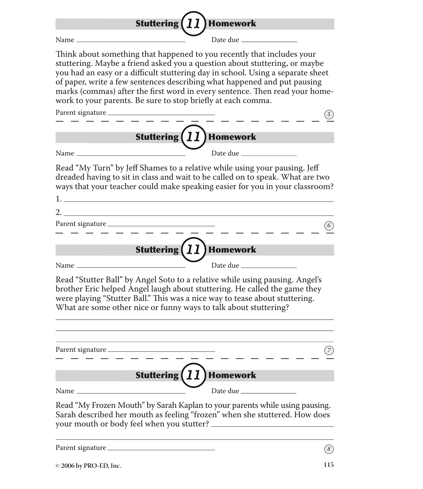| Homework<br><b>Stuttering</b>                                                                                                                                                                                                                                                                                                                                                                                                                                      |
|--------------------------------------------------------------------------------------------------------------------------------------------------------------------------------------------------------------------------------------------------------------------------------------------------------------------------------------------------------------------------------------------------------------------------------------------------------------------|
| Date due _<br>Name                                                                                                                                                                                                                                                                                                                                                                                                                                                 |
| Think about something that happened to you recently that includes your<br>stuttering. Maybe a friend asked you a question about stuttering, or maybe<br>you had an easy or a difficult stuttering day in school. Using a separate sheet<br>of paper, write a few sentences describing what happened and put pausing<br>marks (commas) after the first word in every sentence. Then read your home-<br>work to your parents. Be sure to stop briefly at each comma. |
|                                                                                                                                                                                                                                                                                                                                                                                                                                                                    |
| <b><i>II</i></b> Homework<br><b>Stuttering</b>                                                                                                                                                                                                                                                                                                                                                                                                                     |
| Date due ______                                                                                                                                                                                                                                                                                                                                                                                                                                                    |
| Read "My Turn" by Jeff Shames to a relative while using your pausing. Jeff<br>dreaded having to sit in class and wait to be called on to speak. What are two<br>ways that your teacher could make speaking easier for you in your classroom?                                                                                                                                                                                                                       |
|                                                                                                                                                                                                                                                                                                                                                                                                                                                                    |
|                                                                                                                                                                                                                                                                                                                                                                                                                                                                    |
| <b>Stuttering</b><br>Homework                                                                                                                                                                                                                                                                                                                                                                                                                                      |
| Date due                                                                                                                                                                                                                                                                                                                                                                                                                                                           |
| Read "Stutter Ball" by Angel Soto to a relative while using pausing. Angel's<br>brother Eric helped Angel laugh about stuttering. He called the game they<br>were playing "Stutter Ball." This was a nice way to tease about stuttering.<br>What are some other nice or funny ways to talk about stuttering?                                                                                                                                                       |
|                                                                                                                                                                                                                                                                                                                                                                                                                                                                    |
| <b>Stuttering</b><br><b>Homework</b>                                                                                                                                                                                                                                                                                                                                                                                                                               |
|                                                                                                                                                                                                                                                                                                                                                                                                                                                                    |
| Read "My Frozen Mouth" by Sarah Kaplan to your parents while using pausing.<br>Sarah described her mouth as feeling "frozen" when she stuttered. How does                                                                                                                                                                                                                                                                                                          |
| $\left[8\right]$                                                                                                                                                                                                                                                                                                                                                                                                                                                   |
| 115<br>© 2006 by PRO-ED, Inc.                                                                                                                                                                                                                                                                                                                                                                                                                                      |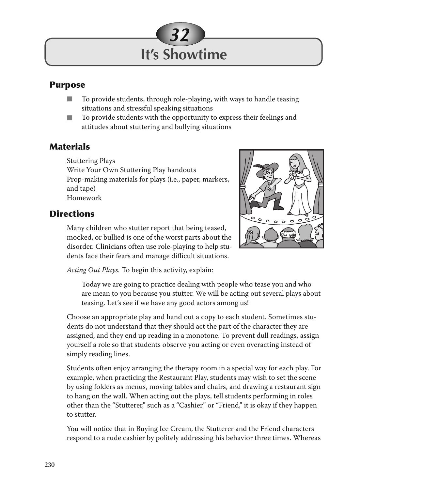

#### **Purpose**

- To provide students, through role-playing, with ways to handle teasing situations and stressful speaking situations n
- To provide students with the opportunity to express their feelings and attitudes about stuttering and bullying situations n

#### **Materials**

Stuttering Plays Write Your Own Stuttering Play handouts Prop-making materials for plays (i.e., paper, markers, and tape) Homework

#### **Directions**



Many children who stutter report that being teased, mocked, or bullied is one of the worst parts about the disorder. Clinicians often use role-playing to help students face their fears and manage difficult situations.

*Acting Out Plays.* To begin this activity, explain:

Today we are going to practice dealing with people who tease you and who are mean to you because you stutter. We will be acting out several plays about teasing. Let's see if we have any good actors among us!

Choose an appropriate play and hand out a copy to each student. Sometimes students do not understand that they should act the part of the character they are assigned, and they end up reading in a monotone. To prevent dull readings, assign yourself a role so that students observe you acting or even overacting instead of simply reading lines.

Students often enjoy arranging the therapy room in a special way for each play. For example, when practicing the Restaurant Play, students may wish to set the scene by using folders as menus, moving tables and chairs, and drawing a restaurant sign to hang on the wall. When acting out the plays, tell students performing in roles other than the "Stutterer," such as a "Cashier" or "Friend," it is okay if they happen to stutter.

You will notice that in Buying Ice Cream, the Stutterer and the Friend characters respond to a rude cashier by politely addressing his behavior three times. Whereas